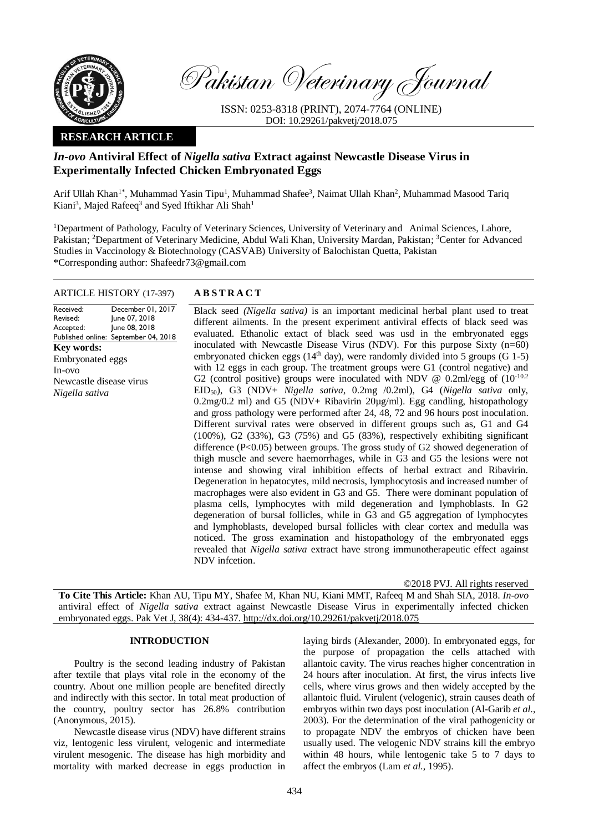

Pakistan Veterinary Journal

ISSN: 0253-8318 (PRINT), 2074-7764 (ONLINE) DOI: 10.29261/pakvetj/2018.075

## **RESEARCH ARTICLE**

# *In-ovo* **Antiviral Effect of** *Nigella sativa* **Extract against Newcastle Disease Virus in Experimentally Infected Chicken Embryonated Eggs**

Arif Ullah Khan<sup>1\*</sup>, Muhammad Yasin Tipu<sup>1</sup>, Muhammad Shafee<sup>3</sup>, Naimat Ullah Khan<sup>2</sup>, Muhammad Masood Tariq Kiani<sup>3</sup>, Majed Rafeeq<sup>3</sup> and Syed Iftikhar Ali Shah<sup>1</sup>

<sup>1</sup>Department of Pathology, Faculty of Veterinary Sciences, University of Veterinary and Animal Sciences, Lahore, Pakistan; <sup>2</sup>Department of Veterinary Medicine, Abdul Wali Khan, University Mardan, Pakistan; <sup>3</sup>Center for Advanced Studies in Vaccinology & Biotechnology (CASVAB) University of Balochistan Quetta, Pakistan \*Corresponding author: Shafeedr73@gmail.com

## ARTICLE HISTORY (17-397) **A B S T R A C T**

Received: Revised: Accepted: Published online: September 04, 2018 December 01, 2017 June 07, 2018 June 08, 2018 **Key words:**  Embryonated eggs In-ovo Newcastle disease virus *Nigella sativa*

Black seed *(Nigella sativa)* is an important medicinal herbal plant used to treat different ailments. In the present experiment antiviral effects of black seed was evaluated. Ethanolic extact of black seed was usd in the embryonated eggs inoculated with Newcastle Disease Virus (NDV). For this purpose Sixty (n=60) embryonated chicken eggs ( $14<sup>th</sup>$  day), were randomly divided into 5 groups (G 1-5) with 12 eggs in each group. The treatment groups were G1 (control negative) and G2 (control positive) groups were inoculated with NDV  $\omega$  0.2ml/egg of  $(10^{-10.2}$ EID50), G3 (NDV+ *Nigella sativa*, 0.2mg /0.2ml), G4 (*Nigella sativa* only, 0.2mg/0.2 ml) and G5 (NDV+ Ribavirin 20µg/ml). Egg candling, histopathology and gross pathology were performed after 24, 48, 72 and 96 hours post inoculation. Different survival rates were observed in different groups such as, G1 and G4 (100%), G2 (33%), G3 (75%) and G5 (83%), respectively exhibiting significant difference (P<0.05) between groups. The gross study of G2 showed degeneration of thigh muscle and severe haemorrhages, while in G3 and G5 the lesions were not intense and showing viral inhibition effects of herbal extract and Ribavirin. Degeneration in hepatocytes, mild necrosis, lymphocytosis and increased number of macrophages were also evident in G3 and G5. There were dominant population of plasma cells, lymphocytes with mild degeneration and lymphoblasts. In G2 degeneration of bursal follicles, while in G3 and G5 aggregation of lymphocytes and lymphoblasts, developed bursal follicles with clear cortex and medulla was noticed. The gross examination and histopathology of the embryonated eggs revealed that *Nigella sativa* extract have strong immunotherapeutic effect against NDV infcetion.

©2018 PVJ. All rights reserved

**To Cite This Article:** Khan AU, Tipu MY, Shafee M, Khan NU, Kiani MMT, Rafeeq M and Shah SIA, 2018. *In-ovo* antiviral effect of *Nigella sativa* extract against Newcastle Disease Virus in experimentally infected chicken embryonated eggs. Pak Vet J, 38(4): 434-437. [http://dx.doi.org/10.29261/pakvetj/2018.075](http://pvj.com.pk/pdf-files/38_4/434-437.pdf) 

## **INTRODUCTION**

Poultry is the second leading industry of Pakistan after textile that plays vital role in the economy of the country. About one million people are benefited directly and indirectly with this sector. In total meat production of the country, poultry sector has 26.8% contribution (Anonymous, 2015).

Newcastle disease virus (NDV) have different strains viz, lentogenic less virulent, velogenic and intermediate virulent mesogenic. The disease has high morbidity and mortality with marked decrease in eggs production in laying birds (Alexander, 2000). In embryonated eggs, for the purpose of propagation the cells attached with allantoic cavity. The virus reaches higher concentration in 24 hours after inoculation. At first, the virus infects live cells, where virus grows and then widely accepted by the allantoic fluid. Virulent (velogenic), strain causes death of embryos within two days post inoculation (Al-Garib *et al*., 2003). For the determination of the viral pathogenicity or to propagate NDV the embryos of chicken have been usually used. The velogenic NDV strains kill the embryo within 48 hours, while lentogenic take 5 to 7 days to affect the embryos (Lam *et al*., 1995).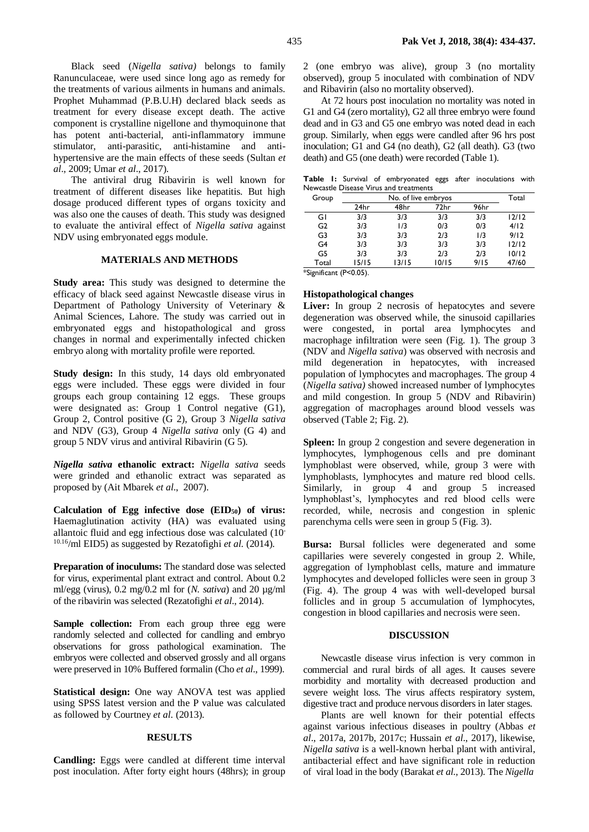Black seed (*Nigella sativa)* belongs to family Ranunculaceae, were used since long ago as remedy for the treatments of various ailments in humans and animals. Prophet Muhammad (P.B.U.H) declared black seeds as treatment for every disease except death. The active component is crystalline nigellone and thymoquinone that has potent anti-bacterial, anti-inflammatory immune stimulator, anti-parasitic, anti-histamine and antihypertensive are the main effects of these seeds (Sultan *et al*., 2009; Umar *et al*., 2017).

The antiviral drug Ribavirin is well known for treatment of different diseases like hepatitis. But high dosage produced different types of organs toxicity and was also one the causes of death. This study was designed to evaluate the antiviral effect of *Nigella sativa* against NDV using embryonated eggs module.

## **MATERIALS AND METHODS**

**Study area:** This study was designed to determine the efficacy of black seed against Newcastle disease virus in Department of Pathology University of Veterinary & Animal Sciences, Lahore. The study was carried out in embryonated eggs and histopathological and gross changes in normal and experimentally infected chicken embryo along with mortality profile were reported.

**Study design:** In this study, 14 days old embryonated eggs were included. These eggs were divided in four groups each group containing 12 eggs. These groups were designated as: Group 1 Control negative (G1), Group 2, Control positive (G 2), Group 3 *Nigella sativa* and NDV (G3), Group 4 *Nigella sativa* only (G 4) and group 5 NDV virus and antiviral Ribavirin (G 5).

*Nigella sativa* **ethanolic extract:** *Nigella sativa* seeds were grinded and ethanolic extract was separated as proposed by (Ait Mbarek *et al*., 2007).

**Calculation of Egg infective dose (EID50) of virus:** Haemaglutination activity (HA) was evaluated using allantoic fluid and egg infectious dose was calculated (10- 10.16/ml EID5) as suggested by Rezatofighi *et al*. (2014).

**Preparation of inoculums:** The standard dose was selected for virus, experimental plant extract and control. About 0.2 ml/egg (virus), 0.2 mg/0.2 ml for (*N. sativa*) and 20 µg/ml of the ribavirin was selected (Rezatofighi *et al*., 2014).

**Sample collection:** From each group three egg were randomly selected and collected for candling and embryo observations for gross pathological examination. The embryos were collected and observed grossly and all organs were preserved in 10% Buffered formalin (Cho *et al*., 1999).

**Statistical design:** One way ANOVA test was applied using SPSS latest version and the P value was calculated as followed by Courtney *et al*. (2013).

#### **RESULTS**

**Candling:** Eggs were candled at different time interval post inoculation. After forty eight hours (48hrs); in group 2 (one embryo was alive), group 3 (no mortality observed), group 5 inoculated with combination of NDV and Ribavirin (also no mortality observed).

At 72 hours post inoculation no mortality was noted in G1 and G4 (zero mortality), G2 all three embryo were found dead and in G3 and G5 one embryo was noted dead in each group. Similarly, when eggs were candled after 96 hrs post inoculation; G1 and G4 (no death), G2 (all death). G3 (two death) and G5 (one death) were recorded (Table 1).

**Table 1:** Survival of embryonated eggs after inoculations with Newcastle Disease Virus and treatments

| Group          |       | Total |       |      |       |
|----------------|-------|-------|-------|------|-------|
|                | 24hr  | 48hr  | 72hr  | 96hr |       |
| GI             | 3/3   | 3/3   | 3/3   | 3/3  | 12/12 |
| G <sub>2</sub> | 3/3   | 1/3   | 0/3   | 0/3  | 4/12  |
| G3             | 3/3   | 3/3   | 2/3   | 1/3  | 9/12  |
| G4             | 3/3   | 3/3   | 3/3   | 3/3  | 12/12 |
| G5             | 3/3   | 3/3   | 2/3   | 2/3  | 10/12 |
| Total          | 15/15 | 13/15 | 10/15 | 9/15 | 47/60 |

\*Significant (P<0.05).

#### **Histopathological changes**

Liver: In group 2 necrosis of hepatocytes and severe degeneration was observed while, the sinusoid capillaries were congested, in portal area lymphocytes and macrophage infiltration were seen (Fig. 1). The group 3 (NDV and *Nigella sativa*) was observed with necrosis and mild degeneration in hepatocytes, with increased population of lymphocytes and macrophages. The group 4 (*Nigella sativa)* showed increased number of lymphocytes and mild congestion. In group 5 (NDV and Ribavirin) aggregation of macrophages around blood vessels was observed (Table 2; Fig. 2).

**Spleen:** In group 2 congestion and severe degeneration in lymphocytes, lymphogenous cells and pre dominant lymphoblast were observed, while, group 3 were with lymphoblasts, lymphocytes and mature red blood cells. Similarly, in group 4 and group 5 increased lymphoblast's, lymphocytes and red blood cells were recorded, while, necrosis and congestion in splenic parenchyma cells were seen in group 5 (Fig. 3).

Bursa: Bursal follicles were degenerated and some capillaries were severely congested in group 2. While, aggregation of lymphoblast cells, mature and immature lymphocytes and developed follicles were seen in group 3 (Fig. 4). The group 4 was with well-developed bursal follicles and in group 5 accumulation of lymphocytes, congestion in blood capillaries and necrosis were seen.

### **DISCUSSION**

Newcastle disease virus infection is very common in commercial and rural birds of all ages. It causes severe morbidity and mortality with decreased production and severe weight loss. The virus affects respiratory system, digestive tract and produce nervous disorders in later stages.

Plants are well known for their potential effects against various infectious diseases in poultry (Abbas *et al*., 2017a, 2017b, 2017c; Hussain *et al*., 2017), likewise, *Nigella sativa* is a well-known herbal plant with antiviral, antibacterial effect and have significant role in reduction of viral load in the body (Barakat *et al*., 2013). The *Nigella*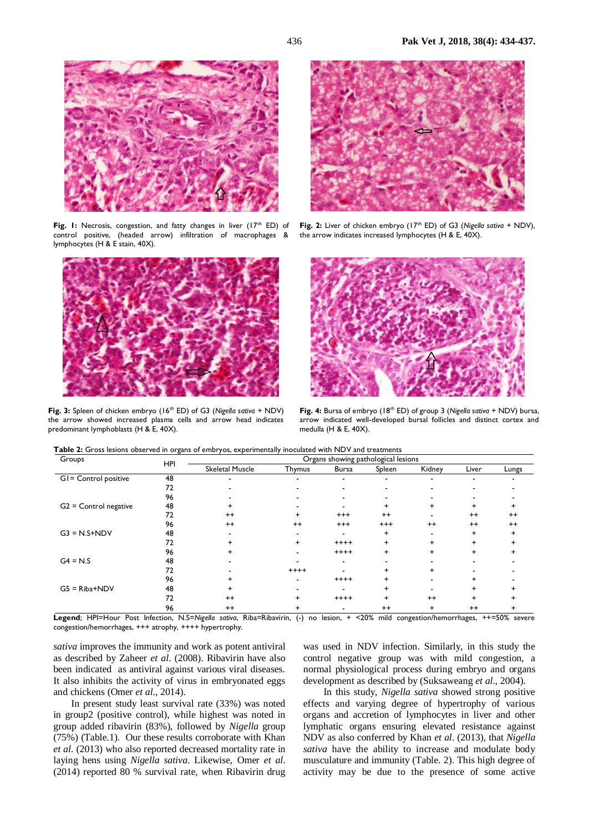

Fig. 1: Necrosis, congestion, and fatty changes in liver (17<sup>th</sup> ED) of control positive, (headed arrow) infiltration of macrophages & lymphocytes (H & E stain, 40X).



**Fig. 3:** Spleen of chicken embryo (16<sup>th</sup> ED) of G3 (Nigella sativa + NDV) the arrow showed increased plasma cells and arrow head indicates predominant lymphoblasts (H & E, 40X).



Fig. 2: Liver of chicken embryo (17<sup>th</sup> ED) of G3 (Nigella sativa + NDV). the arrow indicates increased lymphocytes (H & E, 40X).



**Fig. 4:** Bursa of embryo (18th ED) of group 3 (*Nigella sativa +* NDV) bursa, arrow indicated well-developed bursal follicles and distinct cortex and medulla (H & E, 40X).

**Table 2:** Gross lesions observed in organs of embryos, experimentally inoculated with NDV and treatments

| Groups                  | HPI | Organs showing pathological lesions |         |              |          |         |                          |         |  |
|-------------------------|-----|-------------------------------------|---------|--------------|----------|---------|--------------------------|---------|--|
|                         |     | <b>Skeletal Muscle</b>              | Thymus  | <b>Bursa</b> | Spleen   | Kidney  | Liver                    | Lungs   |  |
| GI= Control positive    | 48  | -                                   |         | -            |          |         | $\overline{\phantom{0}}$ |         |  |
|                         | 72  |                                     |         |              |          |         |                          |         |  |
|                         | 96  |                                     |         |              |          |         |                          |         |  |
| $G2 =$ Control negative | 48  |                                     |         |              |          |         |                          |         |  |
|                         | 72  | $++$                                |         | $^{+++}$     | $^{++}$  |         | $^{++}$                  | $^{++}$ |  |
|                         | 96  | $++$                                | $^{++}$ | $^{+ + +}$   | $^{+++}$ | $^{++}$ | $++$                     | $^{++}$ |  |
| $G3 = N.S + NDV$        | 48  |                                     |         | -            |          |         | +                        |         |  |
|                         | 72  |                                     | $\pm$   | $++++$       |          |         | $\ddot{}$                |         |  |
|                         | 96  |                                     |         | $++++$       |          |         | $\ddot{}$                |         |  |
| $G4 = N.S$              | 48  |                                     |         |              |          |         |                          |         |  |
|                         | 72  |                                     | $+++++$ |              |          |         |                          |         |  |
|                         | 96  |                                     |         | $++++$       |          |         |                          |         |  |
| $GS = Riba+NDV$         | 48  |                                     |         |              |          |         |                          |         |  |
|                         | 72  | $++$                                | +       | $++++$       |          | $++$    | $\ddot{}$                |         |  |
|                         | 96  | $++$                                |         |              | $++$     |         | $^{++}$                  |         |  |

**Legend**; HPI=Hour Post Infection, N.S=*Nigella sativa*, Riba=Ribavirin, (-) no lesion, + <20% mild congestion/hemorrhages, ++=50% severe congestion/hemorrhages, +++ atrophy, ++++ hypertrophy.

*sativa* improves the immunity and work as potent antiviral as described by Zaheer *et al*. (2008). Ribavirin have also been indicated as antiviral against various viral diseases. It also inhibits the activity of virus in embryonated eggs and chickens (Omer *et al*., 2014).

In present study least survival rate (33%) was noted in group2 (positive control), while highest was noted in group added ribavirin (83%), followed by *Nigella* group (75%) (Table.1). Our these results corroborate with Khan *et al*. (2013) who also reported decreased mortality rate in laying hens using *Nigella sativa*. Likewise, Omer *et al*. (2014) reported 80 % survival rate, when Ribavirin drug

was used in NDV infection. Similarly, in this study the control negative group was with mild congestion, a normal physiological process during embryo and organs development as described by (Suksaweang *et al*., 2004).

In this study, *Nigella sativa* showed strong positive effects and varying degree of hypertrophy of various organs and accretion of lymphocytes in liver and other lymphatic organs ensuring elevated resistance against NDV as also conferred by Khan *et al*. (2013), that *Nigella sativa* have the ability to increase and modulate body musculature and immunity (Table. 2). This high degree of activity may be due to the presence of some active